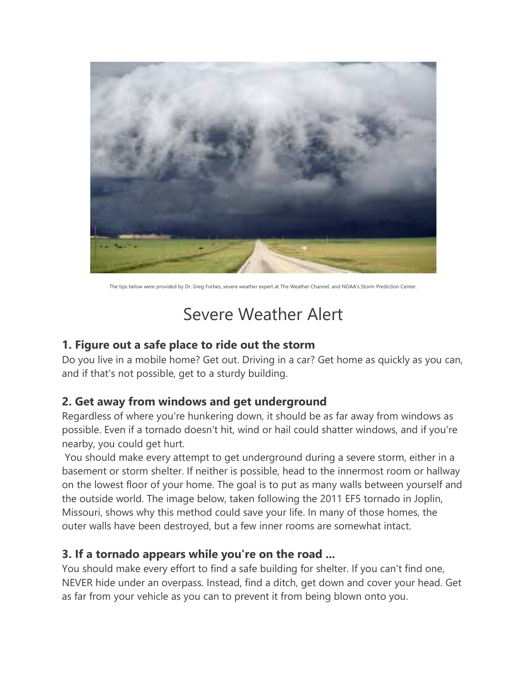

The tips below were provided by Dr. Greg Forbes, severe weather expert at The Weather Channel, and NOAA's Storm Prediction Center.

### Severe Weather Alert

#### 1. Figure out a safe place to ride out the storm

Do you live in a mobile home? Get out. Driving in a car? Get home as quickly as you can, and if that's not possible, get to a sturdy building.

#### 2. Get away from windows and get underground

Regardless of where you're hunkering down, it should be as far away from windows as possible. Even if a tornado doesn't hit, wind or hail could shatter windows, and if you're nearby, you could get hurt.

 You should make every attempt to get underground during a severe storm, either in a basement or storm shelter. If neither is possible, head to the innermost room or hallway on the lowest floor of your home. The goal is to put as many walls between yourself and the outside world. The image below, taken following the 2011 EF5 tornado in Joplin, Missouri, shows why this method could save your life. In many of those homes, the outer walls have been destroyed, but a few inner rooms are somewhat intact.

#### 3. If a tornado appears while you're on the road ...

You should make every effort to find a safe building for shelter. If you can't find one, NEVER hide under an overpass. Instead, find a ditch, get down and cover your head. Get as far from your vehicle as you can to prevent it from being blown onto you.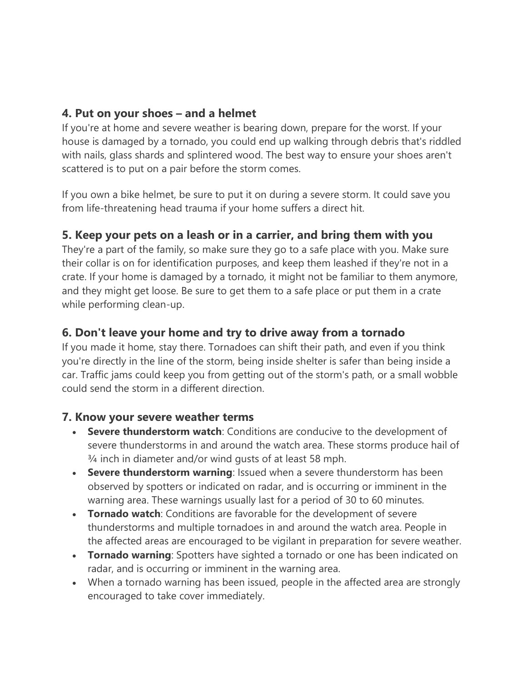#### 4. Put on your shoes – and a helmet

If you're at home and severe weather is bearing down, prepare for the worst. If your house is damaged by a tornado, you could end up walking through debris that's riddled with nails, glass shards and splintered wood. The best way to ensure your shoes aren't scattered is to put on a pair before the storm comes.

If you own a bike helmet, be sure to put it on during a severe storm. It could save you from life-threatening head trauma if your home suffers a direct hit.

#### 5. Keep your pets on a leash or in a carrier, and bring them with you

They're a part of the family, so make sure they go to a safe place with you. Make sure their collar is on for identification purposes, and keep them leashed if they're not in a crate. If your home is damaged by a tornado, it might not be familiar to them anymore, and they might get loose. Be sure to get them to a safe place or put them in a crate while performing clean-up.

#### 6. Don't leave your home and try to drive away from a tornado

If you made it home, stay there. Tornadoes can shift their path, and even if you think you're directly in the line of the storm, being inside shelter is safer than being inside a car. Traffic jams could keep you from getting out of the storm's path, or a small wobble could send the storm in a different direction.

#### 7. Know your severe weather terms

- Severe thunderstorm watch: Conditions are conducive to the development of severe thunderstorms in and around the watch area. These storms produce hail of ¾ inch in diameter and/or wind gusts of at least 58 mph.
- Severe thunderstorm warning: Issued when a severe thunderstorm has been observed by spotters or indicated on radar, and is occurring or imminent in the warning area. These warnings usually last for a period of 30 to 60 minutes.
- Tornado watch: Conditions are favorable for the development of severe thunderstorms and multiple tornadoes in and around the watch area. People in the affected areas are encouraged to be vigilant in preparation for severe weather.
- Tornado warning: Spotters have sighted a tornado or one has been indicated on radar, and is occurring or imminent in the warning area.
- When a tornado warning has been issued, people in the affected area are strongly encouraged to take cover immediately.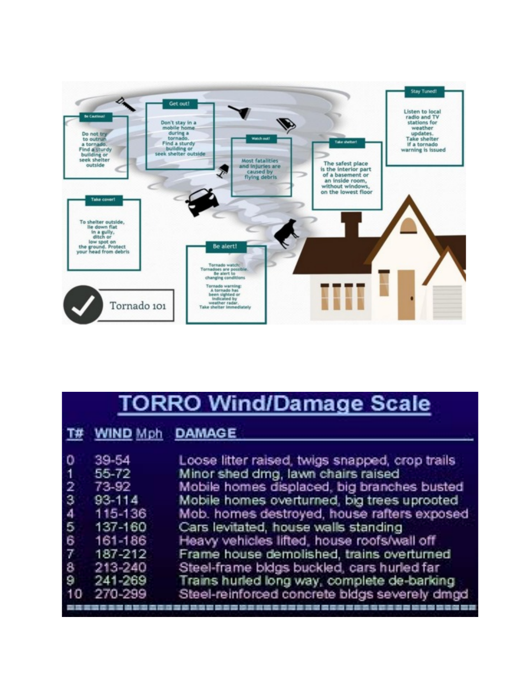

| <b>TORRO Wind/Damage Scale</b>                                      |                                                                                                                |                                                                                                                                                                                                                                                                                                                                                                                                                                                                                                                      |
|---------------------------------------------------------------------|----------------------------------------------------------------------------------------------------------------|----------------------------------------------------------------------------------------------------------------------------------------------------------------------------------------------------------------------------------------------------------------------------------------------------------------------------------------------------------------------------------------------------------------------------------------------------------------------------------------------------------------------|
|                                                                     | T# WIND Mph DAMAGE                                                                                             |                                                                                                                                                                                                                                                                                                                                                                                                                                                                                                                      |
| 0<br>$\overline{1}$<br>2<br>3<br>4<br>$\overline{6}$<br>6<br>8<br>9 | 39-54<br>55-72<br>73-92<br>93-114<br>115-136<br>137-160<br>161-186<br>187-212<br>213-240<br>241-269<br>270-299 | Loose litter raised, twigs snapped, crop trails<br>Minor shed dmg, lawn chairs raised<br>Mobile homes displaced, big branches busted<br>Mobile homes overturned, big trees uprooted<br>Mob. homes destroyed, house rafters exposed<br>Cars levitated, house walls standing<br>Heavy vehicles lifted, house roofs/wall off<br>Frame house demolished, trains overturned<br>Steel-frame bidgs buckled, cars hurled far<br>Trains hurled long way, complete de-barking<br>Steel-reinforced concrete bldgs severely dmgd |